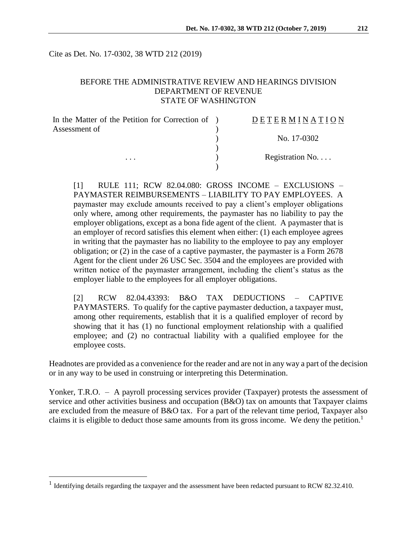Cite as Det. No. 17-0302, 38 WTD 212 (2019)

#### BEFORE THE ADMINISTRATIVE REVIEW AND HEARINGS DIVISION DEPARTMENT OF REVENUE STATE OF WASHINGTON

| In the Matter of the Petition for Correction of ) | DETERMINATION   |
|---------------------------------------------------|-----------------|
| Assessment of                                     |                 |
|                                                   | No. 17-0302     |
|                                                   |                 |
| $\cdots$                                          | Registration No |
|                                                   |                 |

[1] RULE 111; RCW 82.04.080: GROSS INCOME – EXCLUSIONS – PAYMASTER REIMBURSEMENTS – LIABILITY TO PAY EMPLOYEES. A paymaster may exclude amounts received to pay a client's employer obligations only where, among other requirements, the paymaster has no liability to pay the employer obligations, except as a bona fide agent of the client. A paymaster that is an employer of record satisfies this element when either: (1) each employee agrees in writing that the paymaster has no liability to the employee to pay any employer obligation; or (2) in the case of a captive paymaster, the paymaster is a Form 2678 Agent for the client under 26 USC Sec. 3504 and the employees are provided with written notice of the paymaster arrangement, including the client's status as the employer liable to the employees for all employer obligations.

[2] RCW 82.04.43393: B&O TAX DEDUCTIONS – CAPTIVE PAYMASTERS. To qualify for the captive paymaster deduction, a taxpayer must, among other requirements, establish that it is a qualified employer of record by showing that it has (1) no functional employment relationship with a qualified employee; and (2) no contractual liability with a qualified employee for the employee costs.

Headnotes are provided as a convenience for the reader and are not in any way a part of the decision or in any way to be used in construing or interpreting this Determination.

Yonker, T.R.O. – A payroll processing services provider (Taxpayer) protests the assessment of service and other activities business and occupation (B&O) tax on amounts that Taxpayer claims are excluded from the measure of B&O tax. For a part of the relevant time period, Taxpayer also claims it is eligible to deduct those same amounts from its gross income. We deny the petition.<sup>1</sup>

 $\overline{a}$ 

<sup>&</sup>lt;sup>1</sup> Identifying details regarding the taxpayer and the assessment have been redacted pursuant to RCW 82.32.410.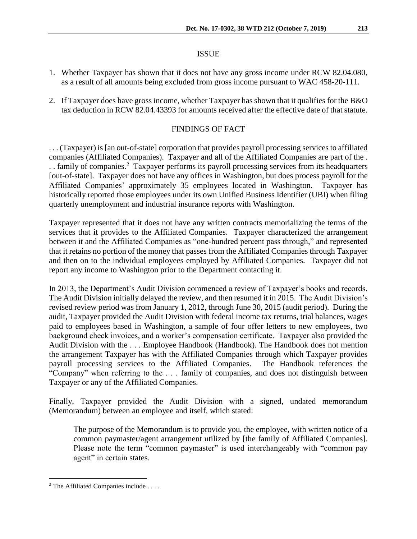#### ISSUE

- 1. Whether Taxpayer has shown that it does not have any gross income under RCW 82.04.080, as a result of all amounts being excluded from gross income pursuant to WAC 458-20-111.
- 2. If Taxpayer does have gross income, whether Taxpayer has shown that it qualifies for the B&O tax deduction in RCW 82.04.43393 for amounts received after the effective date of that statute.

## FINDINGS OF FACT

. . . (Taxpayer) is [an out-of-state] corporation that provides payroll processing services to affiliated companies (Affiliated Companies). Taxpayer and all of the Affiliated Companies are part of the . .. family of companies.<sup>2</sup> Taxpayer performs its payroll processing services from its headquarters [out-of-state]. Taxpayer does not have any offices in Washington, but does process payroll for the Affiliated Companies' approximately 35 employees located in Washington. Taxpayer has historically reported those employees under its own Unified Business Identifier (UBI) when filing quarterly unemployment and industrial insurance reports with Washington.

Taxpayer represented that it does not have any written contracts memorializing the terms of the services that it provides to the Affiliated Companies. Taxpayer characterized the arrangement between it and the Affiliated Companies as "one-hundred percent pass through," and represented that it retains no portion of the money that passes from the Affiliated Companies through Taxpayer and then on to the individual employees employed by Affiliated Companies. Taxpayer did not report any income to Washington prior to the Department contacting it.

In 2013, the Department's Audit Division commenced a review of Taxpayer's books and records. The Audit Division initially delayed the review, and then resumed it in 2015. The Audit Division's revised review period was from January 1, 2012, through June 30, 2015 (audit period). During the audit, Taxpayer provided the Audit Division with federal income tax returns, trial balances, wages paid to employees based in Washington, a sample of four offer letters to new employees, two background check invoices, and a worker's compensation certificate. Taxpayer also provided the Audit Division with the . . . Employee Handbook (Handbook). The Handbook does not mention the arrangement Taxpayer has with the Affiliated Companies through which Taxpayer provides payroll processing services to the Affiliated Companies. The Handbook references the "Company" when referring to the . . . family of companies, and does not distinguish between Taxpayer or any of the Affiliated Companies.

Finally, Taxpayer provided the Audit Division with a signed, undated memorandum (Memorandum) between an employee and itself, which stated:

The purpose of the Memorandum is to provide you, the employee, with written notice of a common paymaster/agent arrangement utilized by [the family of Affiliated Companies]. Please note the term "common paymaster" is used interchangeably with "common pay agent" in certain states.

 $\overline{a}$ 

 $2$  The Affiliated Companies include ....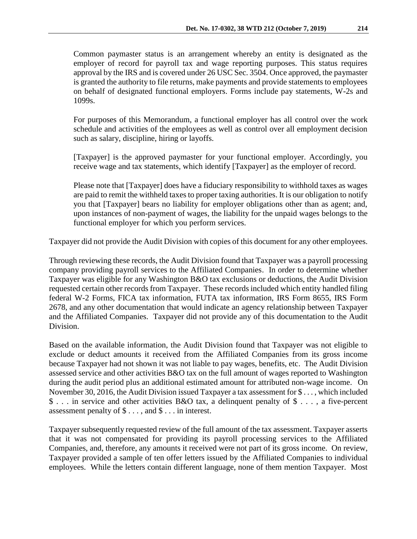Common paymaster status is an arrangement whereby an entity is designated as the employer of record for payroll tax and wage reporting purposes. This status requires approval by the IRS and is covered under 26 USC Sec. 3504. Once approved, the paymaster is granted the authority to file returns, make payments and provide statements to employees on behalf of designated functional employers. Forms include pay statements, W-2s and 1099s.

For purposes of this Memorandum, a functional employer has all control over the work schedule and activities of the employees as well as control over all employment decision such as salary, discipline, hiring or layoffs.

[Taxpayer] is the approved paymaster for your functional employer. Accordingly, you receive wage and tax statements, which identify [Taxpayer] as the employer of record.

Please note that [Taxpayer] does have a fiduciary responsibility to withhold taxes as wages are paid to remit the withheld taxes to proper taxing authorities. It is our obligation to notify you that [Taxpayer] bears no liability for employer obligations other than as agent; and, upon instances of non-payment of wages, the liability for the unpaid wages belongs to the functional employer for which you perform services.

Taxpayer did not provide the Audit Division with copies of this document for any other employees.

Through reviewing these records, the Audit Division found that Taxpayer was a payroll processing company providing payroll services to the Affiliated Companies. In order to determine whether Taxpayer was eligible for any Washington B&O tax exclusions or deductions, the Audit Division requested certain other records from Taxpayer. These records included which entity handled filing federal W-2 Forms, FICA tax information, FUTA tax information, IRS Form 8655, IRS Form 2678, and any other documentation that would indicate an agency relationship between Taxpayer and the Affiliated Companies. Taxpayer did not provide any of this documentation to the Audit Division.

Based on the available information, the Audit Division found that Taxpayer was not eligible to exclude or deduct amounts it received from the Affiliated Companies from its gross income because Taxpayer had not shown it was not liable to pay wages, benefits, etc. The Audit Division assessed service and other activities B&O tax on the full amount of wages reported to Washington during the audit period plus an additional estimated amount for attributed non-wage income. On November 30, 2016, the Audit Division issued Taxpayer a tax assessment for \$ . . . , which included \$ . . . in service and other activities B&O tax, a delinquent penalty of \$ . . . , a five-percent assessment penalty of \$ . . . , and \$ . . . in interest.

Taxpayer subsequently requested review of the full amount of the tax assessment. Taxpayer asserts that it was not compensated for providing its payroll processing services to the Affiliated Companies, and, therefore, any amounts it received were not part of its gross income. On review, Taxpayer provided a sample of ten offer letters issued by the Affiliated Companies to individual employees. While the letters contain different language, none of them mention Taxpayer. Most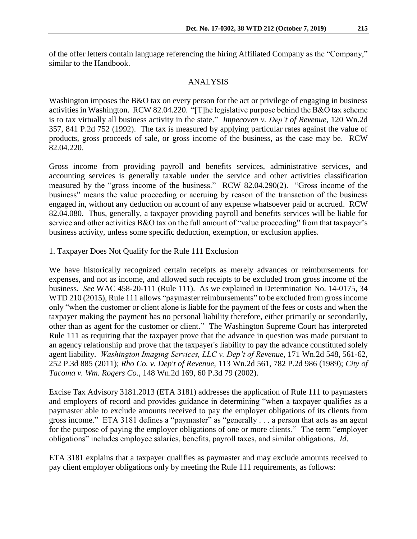of the offer letters contain language referencing the hiring Affiliated Company as the "Company," similar to the Handbook.

#### ANALYSIS

Washington imposes the B&O tax on every person for the act or privilege of engaging in business activities in Washington. RCW 82.04.220. "[T]he legislative purpose behind the B&O tax scheme is to tax virtually all business activity in the state." *Impecoven v. Dep't of Revenue*, 120 Wn.2d 357, 841 P.2d 752 (1992). The tax is measured by applying particular rates against the value of products, gross proceeds of sale, or gross income of the business, as the case may be. RCW 82.04.220.

Gross income from providing payroll and benefits services, administrative services, and accounting services is generally taxable under the service and other activities classification measured by the "gross income of the business." RCW 82.04.290(2). "Gross income of the business" means the value proceeding or accruing by reason of the transaction of the business engaged in, without any deduction on account of any expense whatsoever paid or accrued. RCW 82.04.080. Thus, generally, a taxpayer providing payroll and benefits services will be liable for service and other activities B&O tax on the full amount of "value proceeding" from that taxpayer's business activity, unless some specific deduction, exemption, or exclusion applies.

#### 1. Taxpayer Does Not Qualify for the Rule 111 Exclusion

We have historically recognized certain receipts as merely advances or reimbursements for expenses, and not as income, and allowed such receipts to be excluded from gross income of the business. *See* WAC 458-20-111 (Rule 111). As we explained in Determination No. 14-0175, 34 WTD 210 (2015), Rule 111 allows "paymaster reimbursements" to be excluded from gross income only "when the customer or client alone is liable for the payment of the fees or costs and when the taxpayer making the payment has no personal liability therefore, either primarily or secondarily, other than as agent for the customer or client." The Washington Supreme Court has interpreted Rule 111 as requiring that the taxpayer prove that the advance in question was made pursuant to an agency relationship and prove that the taxpayer's liability to pay the advance constituted solely agent liability. *Washington Imaging Services, LLC v. Dep't of Revenue*, 171 Wn.2d 548, 561-62, 252 P.3d 885 (2011); *Rho Co. v. Dep't of Revenue,* 113 Wn.2d 561, 782 P.2d 986 (1989); *City of Tacoma v. Wm. Rogers Co.*, 148 Wn.2d 169, 60 P.3d 79 (2002).

Excise Tax Advisory 3181.2013 (ETA 3181) addresses the application of Rule 111 to paymasters and employers of record and provides guidance in determining "when a taxpayer qualifies as a paymaster able to exclude amounts received to pay the employer obligations of its clients from gross income." ETA 3181 defines a "paymaster" as "generally . . . a person that acts as an agent for the purpose of paying the employer obligations of one or more clients." The term "employer obligations" includes employee salaries, benefits, payroll taxes, and similar obligations. *Id*.

ETA 3181 explains that a taxpayer qualifies as paymaster and may exclude amounts received to pay client employer obligations only by meeting the Rule 111 requirements, as follows: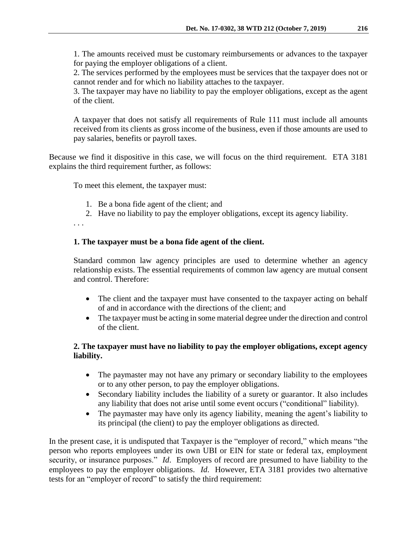1. The amounts received must be customary reimbursements or advances to the taxpayer for paying the employer obligations of a client.

2. The services performed by the employees must be services that the taxpayer does not or cannot render and for which no liability attaches to the taxpayer.

3. The taxpayer may have no liability to pay the employer obligations, except as the agent of the client.

A taxpayer that does not satisfy all requirements of Rule 111 must include all amounts received from its clients as gross income of the business, even if those amounts are used to pay salaries, benefits or payroll taxes.

Because we find it dispositive in this case, we will focus on the third requirement. ETA 3181 explains the third requirement further, as follows:

To meet this element, the taxpayer must:

- 1. Be a bona fide agent of the client; and
- 2. Have no liability to pay the employer obligations, except its agency liability.

. . .

## **1. The taxpayer must be a bona fide agent of the client.**

Standard common law agency principles are used to determine whether an agency relationship exists. The essential requirements of common law agency are mutual consent and control. Therefore:

- The client and the taxpayer must have consented to the taxpayer acting on behalf of and in accordance with the directions of the client; and
- The taxpayer must be acting in some material degree under the direction and control of the client.

# **2. The taxpayer must have no liability to pay the employer obligations, except agency liability.**

- The paymaster may not have any primary or secondary liability to the employees or to any other person, to pay the employer obligations.
- Secondary liability includes the liability of a surety or guarantor. It also includes any liability that does not arise until some event occurs ("conditional" liability).
- The paymaster may have only its agency liability, meaning the agent's liability to its principal (the client) to pay the employer obligations as directed.

In the present case, it is undisputed that Taxpayer is the "employer of record," which means "the person who reports employees under its own UBI or EIN for state or federal tax, employment security, or insurance purposes." *Id*. Employers of record are presumed to have liability to the employees to pay the employer obligations. *Id*. However, ETA 3181 provides two alternative tests for an "employer of record" to satisfy the third requirement: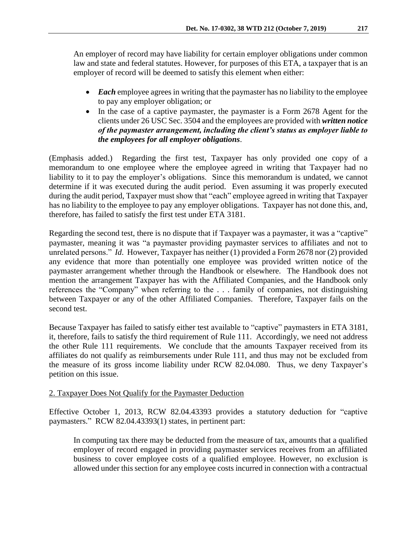An employer of record may have liability for certain employer obligations under common law and state and federal statutes. However, for purposes of this ETA, a taxpayer that is an employer of record will be deemed to satisfy this element when either:

- *Each* employee agrees in writing that the paymaster has no liability to the employee to pay any employer obligation; or
- In the case of a captive paymaster, the paymaster is a Form 2678 Agent for the clients under 26 USC Sec. 3504 and the employees are provided with *written notice of the paymaster arrangement, including the client's status as employer liable to the employees for all employer obligations*.

(Emphasis added.) Regarding the first test, Taxpayer has only provided one copy of a memorandum to one employee where the employee agreed in writing that Taxpayer had no liability to it to pay the employer's obligations. Since this memorandum is undated, we cannot determine if it was executed during the audit period. Even assuming it was properly executed during the audit period, Taxpayer must show that "each" employee agreed in writing that Taxpayer has no liability to the employee to pay any employer obligations. Taxpayer has not done this, and, therefore, has failed to satisfy the first test under ETA 3181.

Regarding the second test, there is no dispute that if Taxpayer was a paymaster, it was a "captive" paymaster, meaning it was "a paymaster providing paymaster services to affiliates and not to unrelated persons." *Id.* However, Taxpayer has neither (1) provided a Form 2678 nor (2) provided any evidence that more than potentially one employee was provided written notice of the paymaster arrangement whether through the Handbook or elsewhere. The Handbook does not mention the arrangement Taxpayer has with the Affiliated Companies, and the Handbook only references the "Company" when referring to the . . . family of companies, not distinguishing between Taxpayer or any of the other Affiliated Companies. Therefore, Taxpayer fails on the second test.

Because Taxpayer has failed to satisfy either test available to "captive" paymasters in ETA 3181, it, therefore, fails to satisfy the third requirement of Rule 111. Accordingly, we need not address the other Rule 111 requirements. We conclude that the amounts Taxpayer received from its affiliates do not qualify as reimbursements under Rule 111, and thus may not be excluded from the measure of its gross income liability under RCW 82.04.080. Thus, we deny Taxpayer's petition on this issue.

# 2. Taxpayer Does Not Qualify for the Paymaster Deduction

Effective October 1, 2013, RCW 82.04.43393 provides a statutory deduction for "captive paymasters." RCW 82.04.43393(1) states, in pertinent part:

In computing tax there may be deducted from the measure of tax, amounts that a qualified employer of record engaged in providing paymaster services receives from an affiliated business to cover employee costs of a qualified employee. However, no exclusion is allowed under this section for any employee costs incurred in connection with a contractual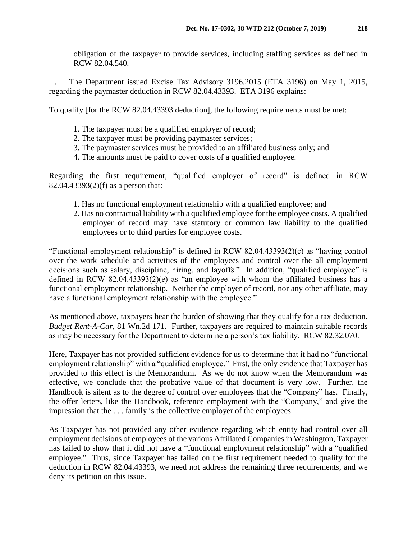obligation of the taxpayer to provide services, including staffing services as defined in RCW 82.04.540.

The Department issued Excise Tax Advisory 3196.2015 (ETA 3196) on May 1, 2015, regarding the paymaster deduction in RCW 82.04.43393. ETA 3196 explains:

To qualify [for the RCW 82.04.43393 deduction], the following requirements must be met:

- 1. The taxpayer must be a qualified employer of record;
- 2. The taxpayer must be providing paymaster services;
- 3. The paymaster services must be provided to an affiliated business only; and
- 4. The amounts must be paid to cover costs of a qualified employee.

Regarding the first requirement, "qualified employer of record" is defined in RCW 82.04.43393(2)(f) as a person that:

- 1. Has no functional employment relationship with a qualified employee; and
- 2. Has no contractual liability with a qualified employee for the employee costs. A qualified employer of record may have statutory or common law liability to the qualified employees or to third parties for employee costs.

"Functional employment relationship" is defined in RCW 82.04.43393(2)(c) as "having control over the work schedule and activities of the employees and control over the all employment decisions such as salary, discipline, hiring, and layoffs." In addition, "qualified employee" is defined in RCW 82.04.43393(2)(e) as "an employee with whom the affiliated business has a functional employment relationship. Neither the employer of record, nor any other affiliate, may have a functional employment relationship with the employee."

As mentioned above, taxpayers bear the burden of showing that they qualify for a tax deduction. *Budget Rent-A-Car,* 81 Wn.2d 171. Further, taxpayers are required to maintain suitable records as may be necessary for the Department to determine a person's tax liability. RCW 82.32.070.

Here, Taxpayer has not provided sufficient evidence for us to determine that it had no "functional employment relationship" with a "qualified employee." First, the only evidence that Taxpayer has provided to this effect is the Memorandum. As we do not know when the Memorandum was effective, we conclude that the probative value of that document is very low. Further, the Handbook is silent as to the degree of control over employees that the "Company" has. Finally, the offer letters, like the Handbook, reference employment with the "Company," and give the impression that the . . . family is the collective employer of the employees.

As Taxpayer has not provided any other evidence regarding which entity had control over all employment decisions of employees of the various Affiliated Companies in Washington, Taxpayer has failed to show that it did not have a "functional employment relationship" with a "qualified employee." Thus, since Taxpayer has failed on the first requirement needed to qualify for the deduction in RCW 82.04.43393, we need not address the remaining three requirements, and we deny its petition on this issue.